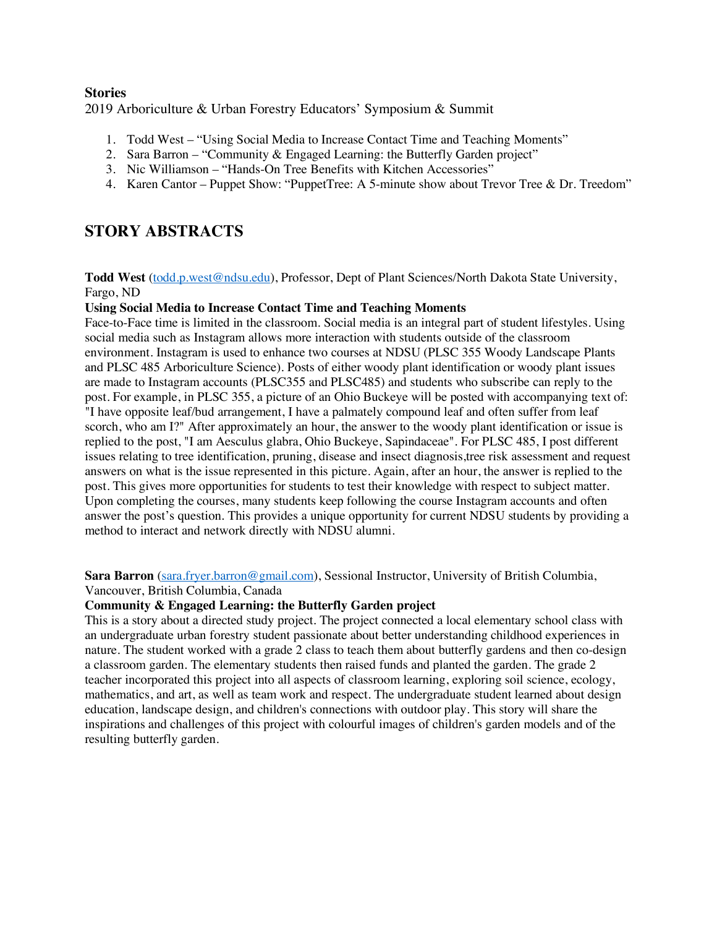# **Stories** 2019 Arboriculture & Urban Forestry Educators' Symposium & Summit

- 1. Todd West "Using Social Media to Increase Contact Time and Teaching Moments"
- 2. Sara Barron "Community & Engaged Learning: the Butterfly Garden project"
- 3. Nic Williamson "Hands-On Tree Benefits with Kitchen Accessories"
- 4. Karen Cantor Puppet Show: "PuppetTree: A 5-minute show about Trevor Tree & Dr. Treedom"

# **STORY ABSTRACTS**

**Todd West** (todd.p.west@ndsu.edu), Professor, Dept of Plant Sciences/North Dakota State University, Fargo, ND

## **Using Social Media to Increase Contact Time and Teaching Moments**

Face-to-Face time is limited in the classroom. Social media is an integral part of student lifestyles. Using social media such as Instagram allows more interaction with students outside of the classroom environment. Instagram is used to enhance two courses at NDSU (PLSC 355 Woody Landscape Plants and PLSC 485 Arboriculture Science). Posts of either woody plant identification or woody plant issues are made to Instagram accounts (PLSC355 and PLSC485) and students who subscribe can reply to the post. For example, in PLSC 355, a picture of an Ohio Buckeye will be posted with accompanying text of: "I have opposite leaf/bud arrangement, I have a palmately compound leaf and often suffer from leaf scorch, who am I?" After approximately an hour, the answer to the woody plant identification or issue is replied to the post, "I am Aesculus glabra, Ohio Buckeye, Sapindaceae". For PLSC 485, I post different issues relating to tree identification, pruning, disease and insect diagnosis,tree risk assessment and request answers on what is the issue represented in this picture. Again, after an hour, the answer is replied to the post. This gives more opportunities for students to test their knowledge with respect to subject matter. Upon completing the courses, many students keep following the course Instagram accounts and often answer the post's question. This provides a unique opportunity for current NDSU students by providing a method to interact and network directly with NDSU alumni.

**Sara Barron** (sara.fryer.barron@gmail.com), Sessional Instructor, University of British Columbia,

Vancouver, British Columbia, Canada

#### **Community & Engaged Learning: the Butterfly Garden project**

This is a story about a directed study project. The project connected a local elementary school class with an undergraduate urban forestry student passionate about better understanding childhood experiences in nature. The student worked with a grade 2 class to teach them about butterfly gardens and then co-design a classroom garden. The elementary students then raised funds and planted the garden. The grade 2 teacher incorporated this project into all aspects of classroom learning, exploring soil science, ecology, mathematics, and art, as well as team work and respect. The undergraduate student learned about design education, landscape design, and children's connections with outdoor play. This story will share the inspirations and challenges of this project with colourful images of children's garden models and of the resulting butterfly garden.